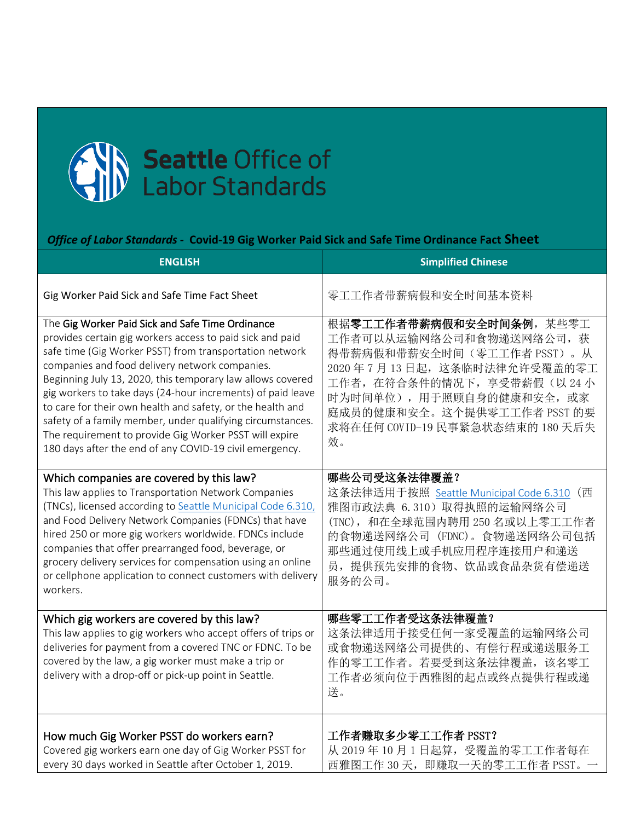

## *Office of Labor Standards -* **Covid-19 Gig Worker Paid Sick and Safe Time Ordinance Fact Sheet**

| <b>ENGLISH</b>                                                                                                                                                                                                                                                                                                                                                                                                                                                                                                                                                                                           | <b>Simplified Chinese</b>                                                                                                                                                                                                                         |
|----------------------------------------------------------------------------------------------------------------------------------------------------------------------------------------------------------------------------------------------------------------------------------------------------------------------------------------------------------------------------------------------------------------------------------------------------------------------------------------------------------------------------------------------------------------------------------------------------------|---------------------------------------------------------------------------------------------------------------------------------------------------------------------------------------------------------------------------------------------------|
| Gig Worker Paid Sick and Safe Time Fact Sheet                                                                                                                                                                                                                                                                                                                                                                                                                                                                                                                                                            | 零工工作者带薪病假和安全时间基本资料                                                                                                                                                                                                                                |
| The Gig Worker Paid Sick and Safe Time Ordinance<br>provides certain gig workers access to paid sick and paid<br>safe time (Gig Worker PSST) from transportation network<br>companies and food delivery network companies.<br>Beginning July 13, 2020, this temporary law allows covered<br>gig workers to take days (24-hour increments) of paid leave<br>to care for their own health and safety, or the health and<br>safety of a family member, under qualifying circumstances.<br>The requirement to provide Gig Worker PSST will expire<br>180 days after the end of any COVID-19 civil emergency. | 根据零工工作者带薪病假和安全时间条例,某些零工<br>工作者可以从运输网络公司和食物递送网络公司, 获<br>得带薪病假和带薪安全时间(零工工作者 PSST)。从<br>2020年7月13日起,这条临时法律允许受覆盖的零工<br>工作者, 在符合条件的情况下, 享受带薪假(以24小<br>时为时间单位),用于照顾自身的健康和安全,或家<br>庭成员的健康和安全。这个提供零工工作者 PSST 的要<br>求将在任何 COVID-19 民事紧急状态结束的 180 天后失<br>效。 |
| Which companies are covered by this law?<br>This law applies to Transportation Network Companies<br>(TNCs), licensed according to Seattle Municipal Code 6.310,<br>and Food Delivery Network Companies (FDNCs) that have<br>hired 250 or more gig workers worldwide. FDNCs include<br>companies that offer prearranged food, beverage, or<br>grocery delivery services for compensation using an online<br>or cellphone application to connect customers with delivery<br>workers.                                                                                                                       | 哪些公司受这条法律覆盖?<br>这条法律适用于按照 Seattle Municipal Code 6.310 (西<br>雅图市政法典 6.310) 取得执照的运输网络公司<br>(TNC), 和在全球范围内聘用 250 名或以上零工工作者<br>的食物递送网络公司 (FDNC)。食物递送网络公司包括<br>那些通过使用线上或手机应用程序连接用户和递送<br>员, 提供预先安排的食物、饮品或食品杂货有偿递送<br>服务的公司。                           |
| Which gig workers are covered by this law?<br>This law applies to gig workers who accept offers of trips or<br>deliveries for payment from a covered TNC or FDNC. To be<br>covered by the law, a gig worker must make a trip or<br>delivery with a drop-off or pick-up point in Seattle.                                                                                                                                                                                                                                                                                                                 | 哪些零工工作者受这条法律覆盖?<br>这条法律适用于接受任何一家受覆盖的运输网络公司<br>或食物递送网络公司提供的、有偿行程或递送服务工<br>作的零工工作者。若要受到这条法律覆盖, 该名零工<br>工作者必须向位于西雅图的起点或终点提供行程或递<br>送。                                                                                                                |
| How much Gig Worker PSST do workers earn?<br>Covered gig workers earn one day of Gig Worker PSST for<br>every 30 days worked in Seattle after October 1, 2019.                                                                                                                                                                                                                                                                                                                                                                                                                                           | 工作者赚取多少零工工作者 PSST?<br>从 2019年10月1日起算, 受覆盖的零工工作者每在<br>西雅图工作 30 天, 即赚取一天的零工工作者 PSST。                                                                                                                                                                |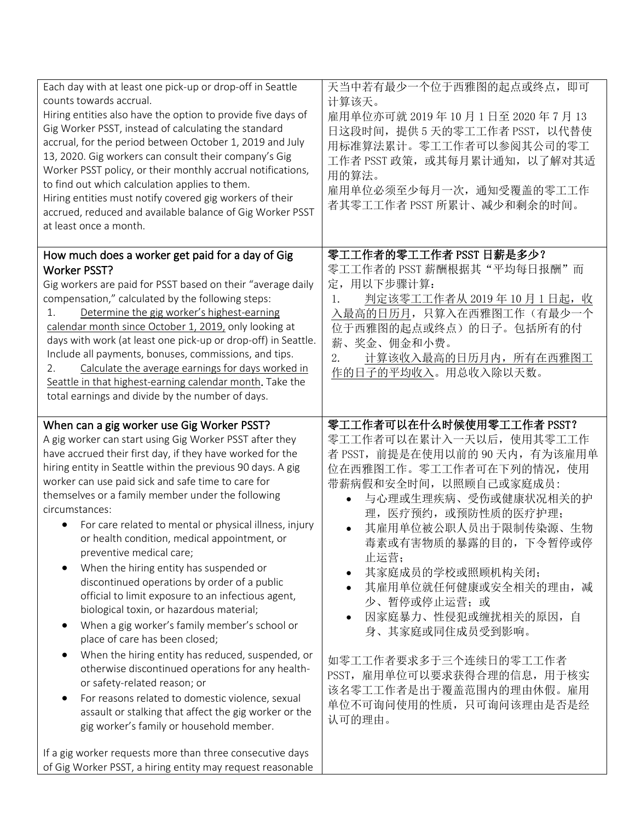| Each day with at least one pick-up or drop-off in Seattle<br>counts towards accrual.<br>Hiring entities also have the option to provide five days of<br>Gig Worker PSST, instead of calculating the standard<br>accrual, for the period between October 1, 2019 and July<br>13, 2020. Gig workers can consult their company's Gig<br>Worker PSST policy, or their monthly accrual notifications,<br>to find out which calculation applies to them.<br>Hiring entities must notify covered gig workers of their<br>accrued, reduced and available balance of Gig Worker PSST<br>at least once a month.                                                                                                                                                                                                                                                                                                                                                                                                                                                                                                             | 天当中若有最少一个位于西雅图的起点或终点, 即可<br>计算该天。<br>雇用单位亦可就 2019年10月1日至 2020年7月13<br>日这段时间, 提供 5 天的零工工作者 PSST, 以代替使<br>用标准算法累计。零工工作者可以参阅其公司的零工<br>工作者 PSST 政策, 或其每月累计通知, 以了解对其适<br>用的算法。<br>雇用单位必须至少每月一次, 通知受覆盖的零工工作<br>者其零工工作者 PSST 所累计、减少和剩余的时间。                                                                                                                                                                                                                                                                  |
|-------------------------------------------------------------------------------------------------------------------------------------------------------------------------------------------------------------------------------------------------------------------------------------------------------------------------------------------------------------------------------------------------------------------------------------------------------------------------------------------------------------------------------------------------------------------------------------------------------------------------------------------------------------------------------------------------------------------------------------------------------------------------------------------------------------------------------------------------------------------------------------------------------------------------------------------------------------------------------------------------------------------------------------------------------------------------------------------------------------------|------------------------------------------------------------------------------------------------------------------------------------------------------------------------------------------------------------------------------------------------------------------------------------------------------------------------------------------------------------------------------------------------------------------------------------------------------------------------------------------------------|
| How much does a worker get paid for a day of Gig<br><b>Worker PSST?</b><br>Gig workers are paid for PSST based on their "average daily<br>compensation," calculated by the following steps:<br>Determine the gig worker's highest-earning<br>1.<br>calendar month since October 1, 2019, only looking at<br>days with work (at least one pick-up or drop-off) in Seattle.<br>Include all payments, bonuses, commissions, and tips.<br>Calculate the average earnings for days worked in<br>2.<br>Seattle in that highest-earning calendar month. Take the<br>total earnings and divide by the number of days.                                                                                                                                                                                                                                                                                                                                                                                                                                                                                                     | 零工工作者的零工工作者 PSST 日薪是多少?<br>零工工作者的 PSST 薪酬根据其"平均每日报酬"而<br>定,用以下步骤计算:<br><u>判定该零工工作者从 2019 年 10 月 1 日起, 收</u><br>$\mathbf{1}$ .<br>入最高的日历月,只算入在西雅图工作(有最少一个<br>位于西雅图的起点或终点)的日子。包括所有的付<br>薪、奖金、佣金和小费。<br>2.<br>计算该收入最高的日历月内, 所有在西雅图工<br>作的日子的平均收入。用总收入除以天数。                                                                                                                                                                                                                                              |
| When can a gig worker use Gig Worker PSST?<br>A gig worker can start using Gig Worker PSST after they<br>have accrued their first day, if they have worked for the<br>hiring entity in Seattle within the previous 90 days. A gig<br>worker can use paid sick and safe time to care for<br>themselves or a family member under the following<br>circumstances:<br>For care related to mental or physical illness, injury<br>$\bullet$<br>or health condition, medical appointment, or<br>preventive medical care;<br>When the hiring entity has suspended or<br>discontinued operations by order of a public<br>official to limit exposure to an infectious agent,<br>biological toxin, or hazardous material;<br>When a gig worker's family member's school or<br>place of care has been closed;<br>When the hiring entity has reduced, suspended, or<br>otherwise discontinued operations for any health-<br>or safety-related reason; or<br>For reasons related to domestic violence, sexual<br>$\bullet$<br>assault or stalking that affect the gig worker or the<br>gig worker's family or household member. | 零工工作者可以在什么时候使用零工工作者 PSST?<br>零工工作者可以在累计入一天以后, 使用其零工工作<br>者 PSST, 前提是在使用以前的 90 天内, 有为该雇用单<br>位在西雅图工作。零工工作者可在下列的情况, 使用<br>带薪病假和安全时间, 以照顾自己或家庭成员:<br>与心理或生理疾病、受伤或健康状况相关的护<br>$\bullet$<br>理, 医疗预约, 或预防性质的医疗护理;<br>其雇用单位被公职人员出于限制传染源、生物<br>毒素或有害物质的暴露的目的, 下令暂停或停<br>止运营;<br>其家庭成员的学校或照顾机构关闭;<br>其雇用单位就任何健康或安全相关的理由, 减<br>少、暂停或停止运营;或<br>因家庭暴力、性侵犯或缠扰相关的原因, 自<br>身、其家庭或同住成员受到影响。<br>如零工工作者要求多于三个连续日的零工工作者<br>PSST, 雇用单位可以要求获得合理的信息, 用于核实<br>该名零工工作者是出于覆盖范围内的理由休假。雇用<br>单位不可询问使用的性质, 只可询问该理由是否是经<br>认可的理由。 |
| If a gig worker requests more than three consecutive days<br>of Gig Worker PSST, a hiring entity may request reasonable                                                                                                                                                                                                                                                                                                                                                                                                                                                                                                                                                                                                                                                                                                                                                                                                                                                                                                                                                                                           |                                                                                                                                                                                                                                                                                                                                                                                                                                                                                                      |